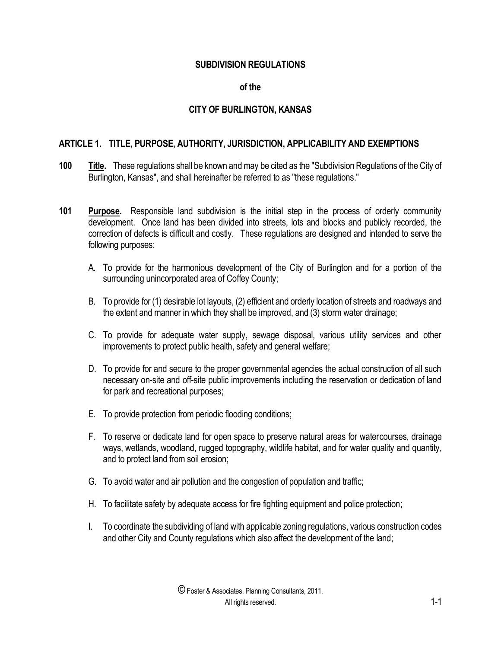### **SUBDIVISION REGULATIONS**

#### **of the**

## **CITY OF BURLINGTON, KANSAS**

### **ARTICLE 1. TITLE, PURPOSE, AUTHORITY, JURISDICTION, APPLICABILITY AND EXEMPTIONS**

- **100 Title.** These regulations shall be known and may be cited as the "Subdivision Regulations of the City of Burlington, Kansas", and shall hereinafter be referred to as "these regulations."
- **101 Purpose.** Responsible land subdivision is the initial step in the process of orderly community development. Once land has been divided into streets, lots and blocks and publicly recorded, the correction of defects is difficult and costly. These regulations are designed and intended to serve the following purposes:
	- A. To provide for the harmonious development of the City of Burlington and for a portion of the surrounding unincorporated area of Coffey County;
	- B. To provide for (1) desirable lot layouts, (2) efficient and orderly location of streets and roadways and the extent and manner in which they shall be improved, and (3) storm water drainage;
	- C. To provide for adequate water supply, sewage disposal, various utility services and other improvements to protect public health, safety and general welfare;
	- D. To provide for and secure to the proper governmental agencies the actual construction of all such necessary on-site and off-site public improvements including the reservation or dedication of land for park and recreational purposes;
	- E. To provide protection from periodic flooding conditions;
	- F. To reserve or dedicate land for open space to preserve natural areas for watercourses, drainage ways, wetlands, woodland, rugged topography, wildlife habitat, and for water quality and quantity, and to protect land from soil erosion;
	- G. To avoid water and air pollution and the congestion of population and traffic;
	- H. To facilitate safety by adequate access for fire fighting equipment and police protection;
	- I. To coordinate the subdividing of land with applicable zoning regulations, various construction codes and other City and County regulations which also affect the development of the land;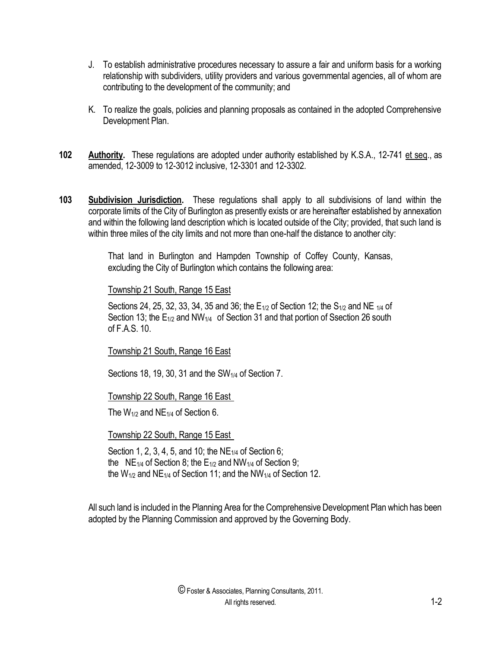- J. To establish administrative procedures necessary to assure a fair and uniform basis for a working relationship with subdividers, utility providers and various governmental agencies, all of whom are contributing to the development of the community; and
- K. To realize the goals, policies and planning proposals as contained in the adopted Comprehensive Development Plan.
- **102 Authority.** These regulations are adopted under authority established by K.S.A., 12-741 et seq., as amended, 12-3009 to 12-3012 inclusive, 12-3301 and 12-3302.
- **103 Subdivision Jurisdiction.** These regulations shall apply to all subdivisions of land within the corporate limits of the City of Burlington as presently exists or are hereinafter established by annexation and within the following land description which is located outside of the City; provided, that such land is within three miles of the city limits and not more than one-half the distance to another city:

That land in Burlington and Hampden Township of Coffey County, Kansas, excluding the City of Burlington which contains the following area:

### Township 21 South, Range 15 East

Sections 24, 25, 32, 33, 34, 35 and 36; the  $E_{1/2}$  of Section 12; the  $S_{1/2}$  and NE  $_{1/4}$  of Section 13; the  $E_{1/2}$  and NW<sub>1/4</sub> of Section 31 and that portion of Ssection 26 south of F.A.S. 10.

# Township 21 South, Range 16 East

Sections 18, 19, 30, 31 and the  $SW<sub>1/4</sub>$  of Section 7.

Township 22 South, Range 16 East

The  $W_{1/2}$  and NE<sub>1/4</sub> of Section 6.

### Township 22 South, Range 15 East

Section 1, 2, 3, 4, 5, and 10; the  $NE<sub>1/4</sub>$  of Section 6; the NE<sub>1/4</sub> of Section 8; the E<sub>1/2</sub> and NW<sub>1/4</sub> of Section 9; the W<sub>1/2</sub> and NE<sub>1/4</sub> of Section 11; and the NW<sub>1/4</sub> of Section 12.

All such land is included in the Planning Area for the Comprehensive Development Plan which has been adopted by the Planning Commission and approved by the Governing Body.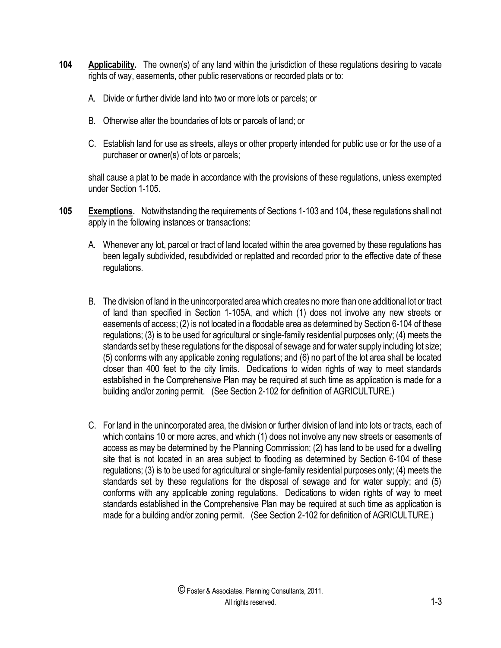- **104 Applicability.** The owner(s) of any land within the jurisdiction of these regulations desiring to vacate rights of way, easements, other public reservations or recorded plats or to:
	- A. Divide or further divide land into two or more lots or parcels; or
	- B. Otherwise alter the boundaries of lots or parcels of land; or
	- C. Establish land for use as streets, alleys or other property intended for public use or for the use of a purchaser or owner(s) of lots or parcels;

shall cause a plat to be made in accordance with the provisions of these regulations, unless exempted under Section 1-105.

- **105 Exemptions.** Notwithstanding the requirements of Sections 1-103 and 104, these regulations shall not apply in the following instances or transactions:
	- A. Whenever any lot, parcel or tract of land located within the area governed by these regulations has been legally subdivided, resubdivided or replatted and recorded prior to the effective date of these regulations.
	- B. The division of land in the unincorporated area which creates no more than one additional lot or tract of land than specified in Section 1-105A, and which (1) does not involve any new streets or easements of access; (2) is not located in a floodable area as determined by Section 6-104 of these regulations; (3) is to be used for agricultural or single-family residential purposes only; (4) meets the standards set by these regulations for the disposal of sewage and for water supply including lot size; (5) conforms with any applicable zoning regulations; and (6) no part of the lot area shall be located closer than 400 feet to the city limits. Dedications to widen rights of way to meet standards established in the Comprehensive Plan may be required at such time as application is made for a building and/or zoning permit. (See Section 2-102 for definition of AGRICULTURE.)
	- C. For land in the unincorporated area, the division or further division of land into lots or tracts, each of which contains 10 or more acres, and which (1) does not involve any new streets or easements of access as may be determined by the Planning Commission; (2) has land to be used for a dwelling site that is not located in an area subject to flooding as determined by Section 6-104 of these regulations; (3) is to be used for agricultural or single-family residential purposes only; (4) meets the standards set by these regulations for the disposal of sewage and for water supply; and (5) conforms with any applicable zoning regulations. Dedications to widen rights of way to meet standards established in the Comprehensive Plan may be required at such time as application is made for a building and/or zoning permit. (See Section 2-102 for definition of AGRICULTURE.)